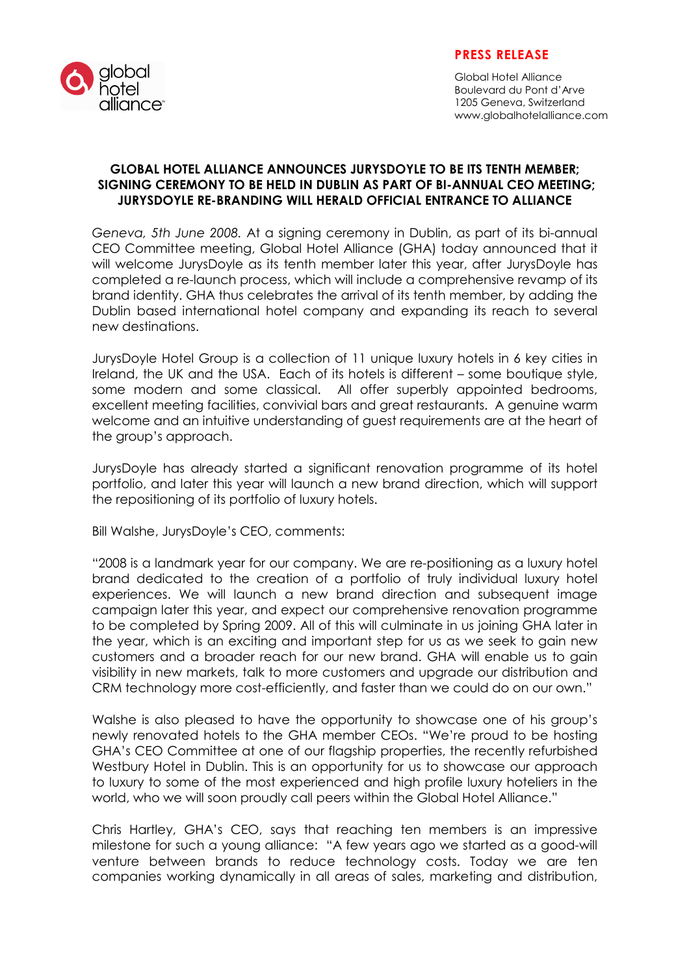

### PRESS RELEASE

Global Hotel Alliance Boulevard du Pont d'Arve 1205 Geneva, Switzerland www.globalhotelalliance.com

#### GLOBAL HOTEL ALLIANCE ANNOUNCES JURYSDOYLE TO BE ITS TENTH MEMBER; SIGNING CEREMONY TO BE HELD IN DUBLIN AS PART OF BI-ANNUAL CEO MEETING; JURYSDOYLE RE-BRANDING WILL HERALD OFFICIAL ENTRANCE TO ALLIANCE

Geneva, 5th June 2008. At a signing ceremony in Dublin, as part of its bi-annual CEO Committee meeting, Global Hotel Alliance (GHA) today announced that it will welcome JurysDoyle as its tenth member later this year, after JurysDoyle has completed a re-launch process, which will include a comprehensive revamp of its brand identity. GHA thus celebrates the arrival of its tenth member, by adding the Dublin based international hotel company and expanding its reach to several new destinations.

JurysDoyle Hotel Group is a collection of 11 unique luxury hotels in 6 key cities in Ireland, the UK and the USA. Each of its hotels is different – some boutique style, some modern and some classical. All offer superbly appointed bedrooms, excellent meeting facilities, convivial bars and great restaurants. A genuine warm welcome and an intuitive understanding of guest requirements are at the heart of the group's approach.

JurysDoyle has already started a significant renovation programme of its hotel portfolio, and later this year will launch a new brand direction, which will support the repositioning of its portfolio of luxury hotels.

Bill Walshe, JurysDoyle's CEO, comments:

"2008 is a landmark year for our company. We are re-positioning as a luxury hotel brand dedicated to the creation of a portfolio of truly individual luxury hotel experiences. We will launch a new brand direction and subsequent image campaign later this year, and expect our comprehensive renovation programme to be completed by Spring 2009. All of this will culminate in us joining GHA later in the year, which is an exciting and important step for us as we seek to gain new customers and a broader reach for our new brand. GHA will enable us to gain visibility in new markets, talk to more customers and upgrade our distribution and CRM technology more cost-efficiently, and faster than we could do on our own."

Walshe is also pleased to have the opportunity to showcase one of his group's newly renovated hotels to the GHA member CEOs. "We're proud to be hosting GHA's CEO Committee at one of our flagship properties, the recently refurbished Westbury Hotel in Dublin. This is an opportunity for us to showcase our approach to luxury to some of the most experienced and high profile luxury hoteliers in the world, who we will soon proudly call peers within the Global Hotel Alliance."

Chris Hartley, GHA's CEO, says that reaching ten members is an impressive milestone for such a young alliance: "A few years ago we started as a good-will venture between brands to reduce technology costs. Today we are ten companies working dynamically in all areas of sales, marketing and distribution,